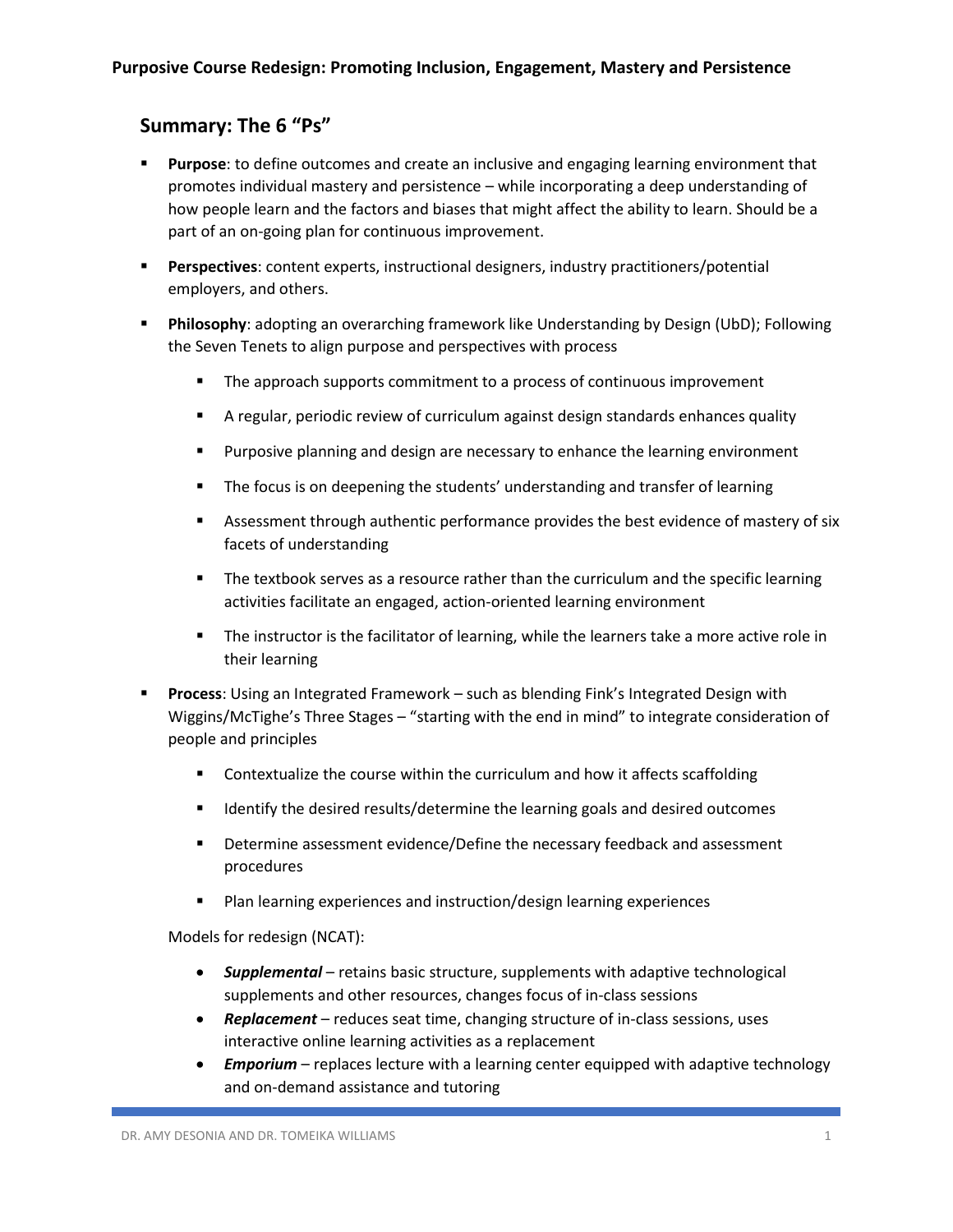## **Summary: The 6 "Ps"**

- **EXECT** Purpose: to define outcomes and create an inclusive and engaging learning environment that promotes individual mastery and persistence – while incorporating a deep understanding of how people learn and the factors and biases that might affect the ability to learn. Should be a part of an on-going plan for continuous improvement.
- **Perspectives**: content experts, instructional designers, industry practitioners/potential employers, and others.
- **Philosophy**: adopting an overarching framework like Understanding by Design (UbD); Following the Seven Tenets to align purpose and perspectives with process
	- **•** The approach supports commitment to a process of continuous improvement
	- **EX A regular, periodic review of curriculum against design standards enhances quality**
	- **EXED** Purposive planning and design are necessary to enhance the learning environment
	- The focus is on deepening the students' understanding and transfer of learning
	- **EXEC** Assessment through authentic performance provides the best evidence of mastery of six facets of understanding
	- The textbook serves as a resource rather than the curriculum and the specific learning activities facilitate an engaged, action-oriented learning environment
	- The instructor is the facilitator of learning, while the learners take a more active role in their learning
- **Process**: Using an Integrated Framework such as blending Fink's Integrated Design with Wiggins/McTighe's Three Stages – "starting with the end in mind" to integrate consideration of people and principles
	- Contextualize the course within the curriculum and how it affects scaffolding
	- Identify the desired results/determine the learning goals and desired outcomes
	- **■** Determine assessment evidence/Define the necessary feedback and assessment procedures
	- Plan learning experiences and instruction/design learning experiences

Models for redesign (NCAT):

- *Supplemental* retains basic structure, supplements with adaptive technological supplements and other resources, changes focus of in-class sessions
- *Replacement* reduces seat time, changing structure of in-class sessions, uses interactive online learning activities as a replacement
- *Emporium* replaces lecture with a learning center equipped with adaptive technology and on-demand assistance and tutoring